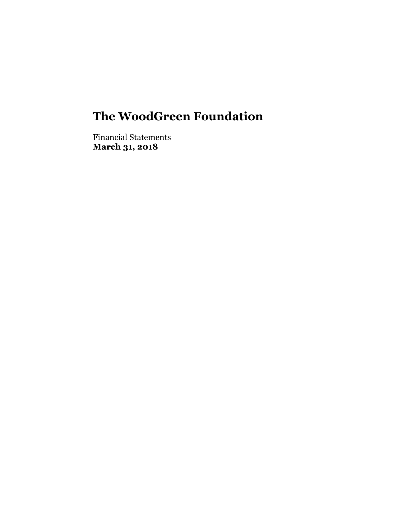Financial Statements **March 31, 2018**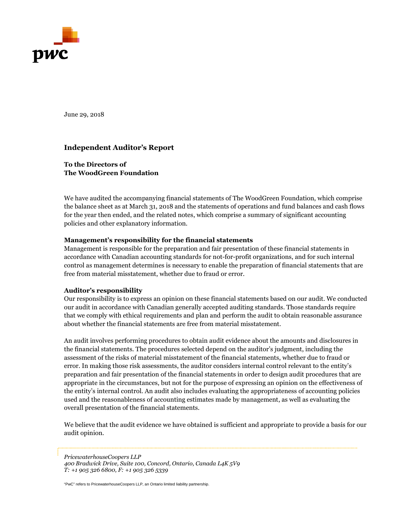

June 29, 2018

# **Independent Auditor's Report**

#### **To the Directors of The WoodGreen Foundation**

We have audited the accompanying financial statements of The WoodGreen Foundation, which comprise the balance sheet as at March 31, 2018 and the statements of operations and fund balances and cash flows for the year then ended, and the related notes, which comprise a summary of significant accounting policies and other explanatory information.

#### **Management's responsibility for the financial statements**

Management is responsible for the preparation and fair presentation of these financial statements in accordance with Canadian accounting standards for not-for-profit organizations, and for such internal control as management determines is necessary to enable the preparation of financial statements that are free from material misstatement, whether due to fraud or error.

#### **Auditor's responsibility**

Our responsibility is to express an opinion on these financial statements based on our audit. We conducted our audit in accordance with Canadian generally accepted auditing standards. Those standards require that we comply with ethical requirements and plan and perform the audit to obtain reasonable assurance about whether the financial statements are free from material misstatement.

An audit involves performing procedures to obtain audit evidence about the amounts and disclosures in the financial statements. The procedures selected depend on the auditor's judgment, including the assessment of the risks of material misstatement of the financial statements, whether due to fraud or error. In making those risk assessments, the auditor considers internal control relevant to the entity's preparation and fair presentation of the financial statements in order to design audit procedures that are appropriate in the circumstances, but not for the purpose of expressing an opinion on the effectiveness of the entity's internal control. An audit also includes evaluating the appropriateness of accounting policies used and the reasonableness of accounting estimates made by management, as well as evaluating the overall presentation of the financial statements.

We believe that the audit evidence we have obtained is sufficient and appropriate to provide a basis for our audit opinion.

*PricewaterhouseCoopers LLP 400 Bradwick Drive, Suite 100, Concord, Ontario, Canada L4K 5V9 T: +1 905 326 6800, F: +1 905 326 5339* 

"PwC" refers to PricewaterhouseCoopers LLP, an Ontario limited liability partnership.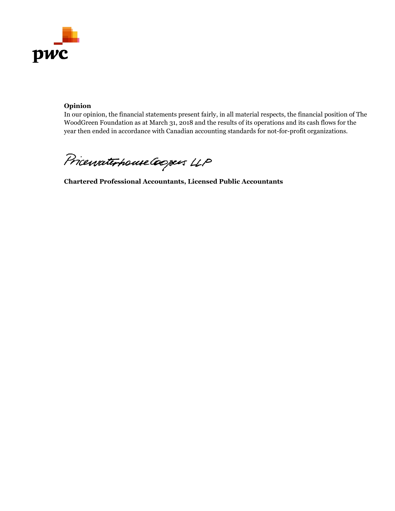

# **Opinion**

In our opinion, the financial statements present fairly, in all material respects, the financial position of The WoodGreen Foundation as at March 31, 2018 and the results of its operations and its cash flows for the year then ended in accordance with Canadian accounting standards for not-for-profit organizations.

Pricewaterhouse Coopers LLP

**Chartered Professional Accountants, Licensed Public Accountants**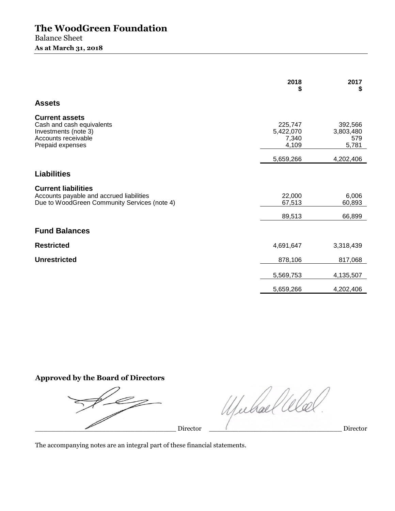|                                                                                                                        | 2018<br>\$                             | 2017<br>S                            |
|------------------------------------------------------------------------------------------------------------------------|----------------------------------------|--------------------------------------|
| <b>Assets</b>                                                                                                          |                                        |                                      |
| <b>Current assets</b><br>Cash and cash equivalents<br>Investments (note 3)<br>Accounts receivable<br>Prepaid expenses  | 225,747<br>5,422,070<br>7,340<br>4,109 | 392,566<br>3,803,480<br>579<br>5,781 |
|                                                                                                                        | 5,659,266                              | 4,202,406                            |
| <b>Liabilities</b>                                                                                                     |                                        |                                      |
| <b>Current liabilities</b><br>Accounts payable and accrued liabilities<br>Due to WoodGreen Community Services (note 4) | 22,000<br>67,513                       | 6,006<br>60,893                      |
|                                                                                                                        | 89,513                                 | 66,899                               |
| <b>Fund Balances</b>                                                                                                   |                                        |                                      |
| <b>Restricted</b>                                                                                                      | 4,691,647                              | 3,318,439                            |
| <b>Unrestricted</b>                                                                                                    | 878,106                                | 817,068                              |
|                                                                                                                        | 5,569,753                              | 4,135,507                            |
|                                                                                                                        | 5,659,266                              | 4,202,406                            |

**Approved by the Board of Directors**

\_\_\_\_\_\_\_\_\_\_\_\_\_\_\_\_\_\_\_\_\_\_\_\_\_\_\_\_\_\_\_\_\_\_ Director \_\_\_\_\_\_\_\_\_\_\_\_\_\_\_\_\_\_\_\_\_\_\_\_\_\_\_\_\_\_\_\_ Director

Werhallle

The accompanying notes are an integral part of these financial statements.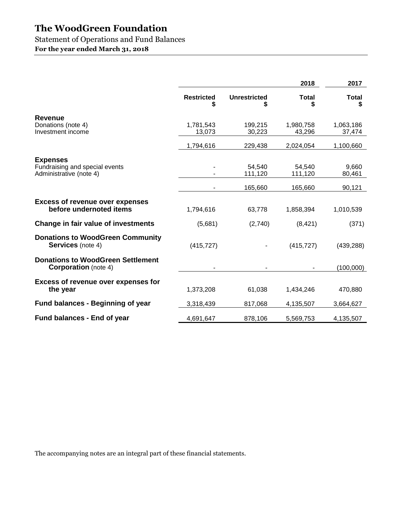Statement of Operations and Fund Balances

**For the year ended March 31, 2018** 

|                                                                              |                     |                     | 2018                | 2017                |
|------------------------------------------------------------------------------|---------------------|---------------------|---------------------|---------------------|
|                                                                              | <b>Restricted</b>   | <b>Unrestricted</b> | <b>Total</b>        | <b>Total</b>        |
| <b>Revenue</b><br>Donations (note 4)<br>Investment income                    | 1,781,543<br>13,073 | 199,215<br>30,223   | 1,980,758<br>43,296 | 1,063,186<br>37,474 |
|                                                                              | 1,794,616           | 229,438             | 2,024,054           | 1,100,660           |
| <b>Expenses</b><br>Fundraising and special events<br>Administrative (note 4) |                     | 54,540<br>111,120   | 54.540<br>111,120   | 9,660<br>80,461     |
|                                                                              |                     | 165,660             | 165,660             | 90,121              |
| <b>Excess of revenue over expenses</b><br>before undernoted items            | 1,794,616           | 63,778              | 1,858,394           | 1,010,539           |
| Change in fair value of investments                                          | (5,681)             | (2,740)             | (8,421)             | (371)               |
| <b>Donations to WoodGreen Community</b><br><b>Services</b> (note 4)          | (415, 727)          |                     | (415, 727)          | (439, 288)          |
| <b>Donations to WoodGreen Settlement</b><br><b>Corporation</b> (note 4)      |                     |                     |                     | (100,000)           |
| <b>Excess of revenue over expenses for</b><br>the year                       | 1,373,208           | 61,038              | 1,434,246           | 470,880             |
| <b>Fund balances - Beginning of year</b>                                     | 3,318,439           | 817,068             | 4,135,507           | 3,664,627           |
| Fund balances - End of year                                                  | 4,691,647           | 878,106             | 5,569,753           | 4,135,507           |

The accompanying notes are an integral part of these financial statements.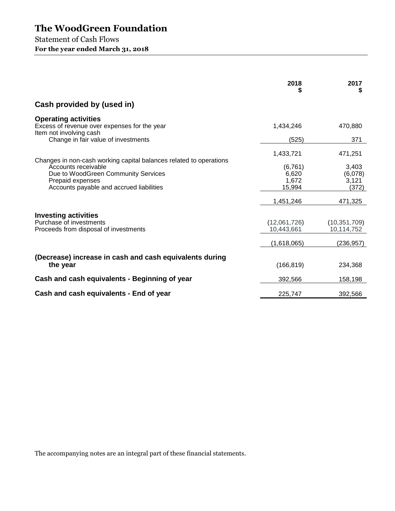Statement of Cash Flows **For the year ended March 31, 2018** 

|                                                                                                                            | 2018<br>S                            | 2017<br>5                          |
|----------------------------------------------------------------------------------------------------------------------------|--------------------------------------|------------------------------------|
| Cash provided by (used in)                                                                                                 |                                      |                                    |
| <b>Operating activities</b><br>Excess of revenue over expenses for the year<br>Item not involving cash                     | 1,434,246                            | 470,880                            |
| Change in fair value of investments                                                                                        | (525)                                | 371                                |
| Changes in non-cash working capital balances related to operations                                                         | 1,433,721                            | 471,251                            |
| Accounts receivable<br>Due to WoodGreen Community Services<br>Prepaid expenses<br>Accounts payable and accrued liabilities | (6, 761)<br>6,620<br>1,672<br>15,994 | 3,403<br>(6,078)<br>3,121<br>(372) |
|                                                                                                                            | 1,451,246                            | 471,325                            |
| <b>Investing activities</b><br>Purchase of investments<br>Proceeds from disposal of investments                            | (12,061,726)<br>10,443,661           | (10, 351, 709)<br>10,114,752       |
|                                                                                                                            | (1,618,065)                          | (236, 957)                         |
| (Decrease) increase in cash and cash equivalents during<br>the year                                                        | (166, 819)                           | 234,368                            |
| Cash and cash equivalents - Beginning of year                                                                              | 392,566                              | 158,198                            |
| Cash and cash equivalents - End of year                                                                                    | 225,747                              | 392,566                            |

The accompanying notes are an integral part of these financial statements.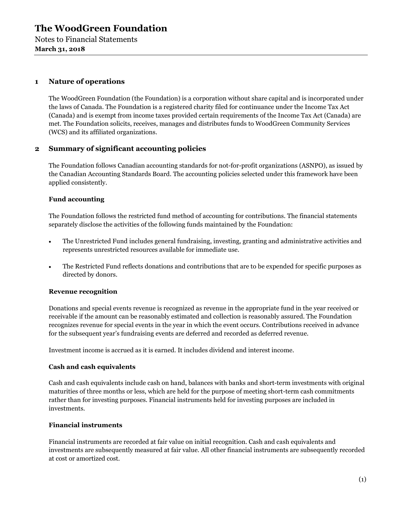Notes to Financial Statements **March 31, 2018** 

# **1 Nature of operations**

The WoodGreen Foundation (the Foundation) is a corporation without share capital and is incorporated under the laws of Canada. The Foundation is a registered charity filed for continuance under the Income Tax Act (Canada) and is exempt from income taxes provided certain requirements of the Income Tax Act (Canada) are met. The Foundation solicits, receives, manages and distributes funds to WoodGreen Community Services (WCS) and its affiliated organizations.

# **2 Summary of significant accounting policies**

The Foundation follows Canadian accounting standards for not-for-profit organizations (ASNPO), as issued by the Canadian Accounting Standards Board. The accounting policies selected under this framework have been applied consistently.

#### **Fund accounting**

The Foundation follows the restricted fund method of accounting for contributions. The financial statements separately disclose the activities of the following funds maintained by the Foundation:

- The Unrestricted Fund includes general fundraising, investing, granting and administrative activities and represents unrestricted resources available for immediate use.
- The Restricted Fund reflects donations and contributions that are to be expended for specific purposes as directed by donors.

#### **Revenue recognition**

Donations and special events revenue is recognized as revenue in the appropriate fund in the year received or receivable if the amount can be reasonably estimated and collection is reasonably assured. The Foundation recognizes revenue for special events in the year in which the event occurs. Contributions received in advance for the subsequent year's fundraising events are deferred and recorded as deferred revenue.

Investment income is accrued as it is earned. It includes dividend and interest income.

#### **Cash and cash equivalents**

Cash and cash equivalents include cash on hand, balances with banks and short-term investments with original maturities of three months or less, which are held for the purpose of meeting short-term cash commitments rather than for investing purposes. Financial instruments held for investing purposes are included in investments.

#### **Financial instruments**

Financial instruments are recorded at fair value on initial recognition. Cash and cash equivalents and investments are subsequently measured at fair value. All other financial instruments are subsequently recorded at cost or amortized cost.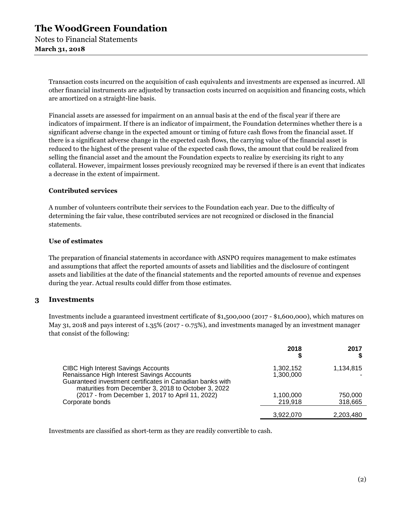Transaction costs incurred on the acquisition of cash equivalents and investments are expensed as incurred. All other financial instruments are adjusted by transaction costs incurred on acquisition and financing costs, which are amortized on a straight-line basis.

Financial assets are assessed for impairment on an annual basis at the end of the fiscal year if there are indicators of impairment. If there is an indicator of impairment, the Foundation determines whether there is a significant adverse change in the expected amount or timing of future cash flows from the financial asset. If there is a significant adverse change in the expected cash flows, the carrying value of the financial asset is reduced to the highest of the present value of the expected cash flows, the amount that could be realized from selling the financial asset and the amount the Foundation expects to realize by exercising its right to any collateral. However, impairment losses previously recognized may be reversed if there is an event that indicates a decrease in the extent of impairment.

#### **Contributed services**

A number of volunteers contribute their services to the Foundation each year. Due to the difficulty of determining the fair value, these contributed services are not recognized or disclosed in the financial statements.

#### **Use of estimates**

The preparation of financial statements in accordance with ASNPO requires management to make estimates and assumptions that affect the reported amounts of assets and liabilities and the disclosure of contingent assets and liabilities at the date of the financial statements and the reported amounts of revenue and expenses during the year. Actual results could differ from those estimates.

# **3 Investments**

Investments include a guaranteed investment certificate of \$1,500,000 (2017 - \$1,600,000), which matures on May 31, 2018 and pays interest of 1.35% (2017 - 0.75%), and investments managed by an investment manager that consist of the following:

|                                                                                                                                                                                                              | 2018                   | 2017               |
|--------------------------------------------------------------------------------------------------------------------------------------------------------------------------------------------------------------|------------------------|--------------------|
| <b>CIBC High Interest Savings Accounts</b><br>Renaissance High Interest Savings Accounts<br>Guaranteed investment certificates in Canadian banks with<br>maturities from December 3, 2018 to October 3, 2022 | 1,302,152<br>1,300,000 | 1,134,815          |
| (2017 - from December 1, 2017 to April 11, 2022)<br>Corporate bonds                                                                                                                                          | 1,100,000<br>219,918   | 750,000<br>318,665 |
|                                                                                                                                                                                                              | 3,922,070              | 2,203,480          |

Investments are classified as short-term as they are readily convertible to cash.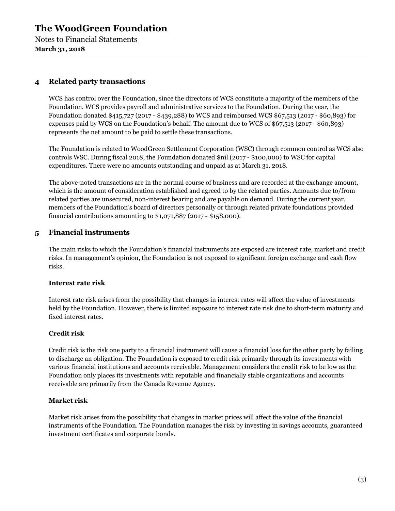Notes to Financial Statements **March 31, 2018** 

# **4 Related party transactions**

WCS has control over the Foundation, since the directors of WCS constitute a majority of the members of the Foundation. WCS provides payroll and administrative services to the Foundation. During the year, the Foundation donated \$415,727 (2017 - \$439,288) to WCS and reimbursed WCS \$67,513 (2017 - \$60,893) for expenses paid by WCS on the Foundation's behalf. The amount due to WCS of \$67,513 (2017 - \$60,893) represents the net amount to be paid to settle these transactions.

The Foundation is related to WoodGreen Settlement Corporation (WSC) through common control as WCS also controls WSC. During fiscal 2018, the Foundation donated \$nil (2017 - \$100,000) to WSC for capital expenditures. There were no amounts outstanding and unpaid as at March 31, 2018.

The above-noted transactions are in the normal course of business and are recorded at the exchange amount, which is the amount of consideration established and agreed to by the related parties. Amounts due to/from related parties are unsecured, non-interest bearing and are payable on demand. During the current year, members of the Foundation's board of directors personally or through related private foundations provided financial contributions amounting to \$1,071,887 (2017 - \$158,000).

# **5 Financial instruments**

The main risks to which the Foundation's financial instruments are exposed are interest rate, market and credit risks. In management's opinion, the Foundation is not exposed to significant foreign exchange and cash flow risks.

#### **Interest rate risk**

Interest rate risk arises from the possibility that changes in interest rates will affect the value of investments held by the Foundation. However, there is limited exposure to interest rate risk due to short-term maturity and fixed interest rates.

# **Credit risk**

Credit risk is the risk one party to a financial instrument will cause a financial loss for the other party by failing to discharge an obligation. The Foundation is exposed to credit risk primarily through its investments with various financial institutions and accounts receivable. Management considers the credit risk to be low as the Foundation only places its investments with reputable and financially stable organizations and accounts receivable are primarily from the Canada Revenue Agency.

#### **Market risk**

Market risk arises from the possibility that changes in market prices will affect the value of the financial instruments of the Foundation. The Foundation manages the risk by investing in savings accounts, guaranteed investment certificates and corporate bonds.